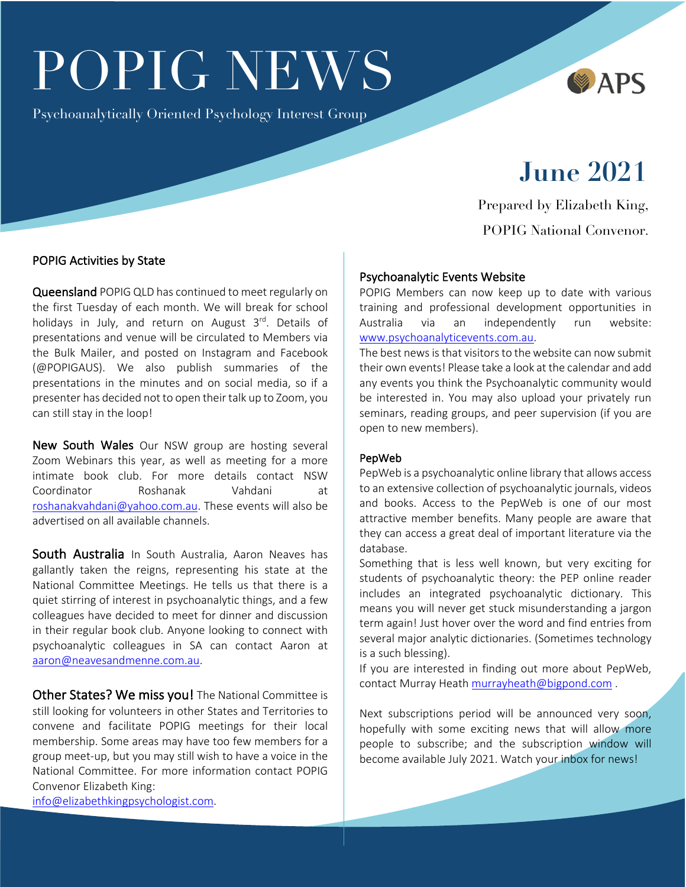# POPIG NEWS

Psychoanalytically Oriented Psychology Interest Group



# **June 2021**

Prepared by Elizabeth King, POPIG National Convenor.

# POPIG Activities by State

Queensland POPIG QLD has continued to meet regularly on the first Tuesday of each month. We will break for school holidays in July, and return on August  $3<sup>rd</sup>$ . Details of presentations and venue will be circulated to Members via the Bulk Mailer, and posted on Instagram and Facebook (@POPIGAUS). We also publish summaries of the presentations in the minutes and on social media, so if a presenter has decided not to open their talk up to Zoom, you can still stay in the loop!

New South Wales Our NSW group are hosting several Zoom Webinars this year, as well as meeting for a more intimate book club. For more details contact NSW Coordinator Roshanak Vahdani at roshanakvahdani@yahoo.com.au. These events will also be advertised on all available channels.

South Australia In South Australia, Aaron Neaves has gallantly taken the reigns, representing his state at the National Committee Meetings. He tells us that there is a quiet stirring of interest in psychoanalytic things, and a few colleagues have decided to meet for dinner and discussion in their regular book club. Anyone looking to connect with psychoanalytic colleagues in SA can contact Aaron at aaron@neavesandmenne.com.au.

Other States? We miss you! The National Committee is still looking for volunteers in other States and Territories to convene and facilitate POPIG meetings for their local membership. Some areas may have too few members for a group meet-up, but you may still wish to have a voice in the National Committee. For more information contact POPIG Convenor Elizabeth King:

info@elizabethkingpsychologist.com.

# Psychoanalytic Events Website

POPIG Members can now keep up to date with various training and professional development opportunities in Australia via an independently run website: www.psychoanalyticevents.com.au.

The best news is that visitors to the website can now submit their own events! Please take a look at the calendar and add any events you think the Psychoanalytic community would be interested in. You may also upload your privately run seminars, reading groups, and peer supervision (if you are open to new members).

#### PepWeb

PepWeb is a psychoanalytic online library that allows access to an extensive collection of psychoanalytic journals, videos and books. Access to the PepWeb is one of our most attractive member benefits. Many people are aware that they can access a great deal of important literature via the database.

Something that is less well known, but very exciting for students of psychoanalytic theory: the PEP online reader includes an integrated psychoanalytic dictionary. This means you will never get stuck misunderstanding a jargon term again! Just hover over the word and find entries from several major analytic dictionaries. (Sometimes technology is a such blessing).

If you are interested in finding out more about PepWeb, contact Murray Heath murrayheath@bigpond.com .

Next subscriptions period will be announced very soon, hopefully with some exciting news that will allow more people to subscribe; and the subscription window will become available July 2021. Watch your inbox for news!